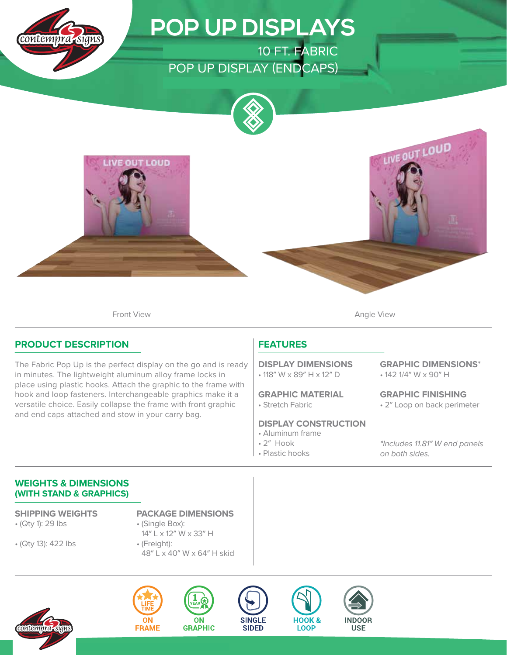

# **POP UP DISPLAYS**

10 FT. FABRIC POP UP DISPLAY (ENDCAPS)





Front View **Angle View Angle View** 

## **PRODUCT DESCRIPTION**

The Fabric Pop Up is the perfect display on the go and is ready in minutes. The lightweight aluminum alloy frame locks in place using plastic hooks. Attach the graphic to the frame with hook and loop fasteners. Interchangeable graphics make it a versatile choice. Easily collapse the frame with front graphic and end caps attached and stow in your carry bag.

## **FEATURES**

• 118″ W x 89″ H x 12″ D **DISPLAY DIMENSIONS**

• Stretch Fabric **GRAPHIC MATERIAL**

#### **DISPLAY CONSTRUCTION**

- Aluminum frame
- 2″ Hook
- Plastic hooks

• 142 1/4″ W x 90″ H **GRAPHIC DIMENSIONS**\*

• 2″ Loop on back perimeter **GRAPHIC FINISHING**

**\***Includes 11.81″ W end panels on both sides.

#### **WEIGHTS & DIMENSIONS (WITH STAND & GRAPHICS)**

• (Qty 1): 29 lbs

• (Qty 13): 422 lbs

**SHIPPING WEIGHTS PACKAGE DIMENSIONS**

- (Single Box): 14″ L x 12″ W x 33″ H
- (Freight): 48″ L x 40″ W x 64″ H skid









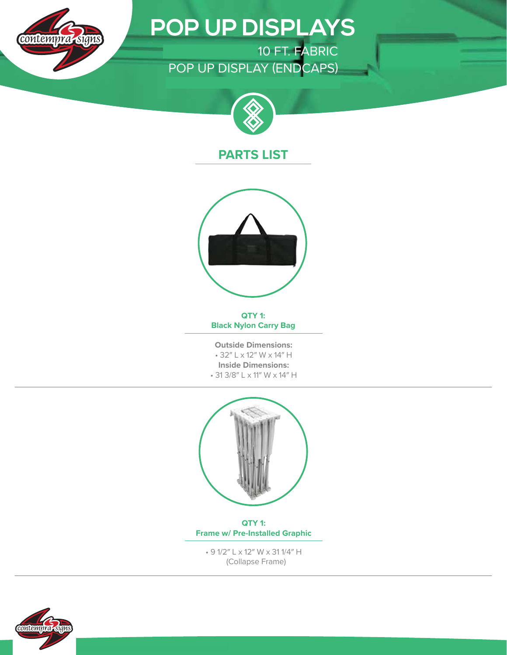

# **POP UP DISPLAYS**

ONE CHOICE 10 FT. FABRIC POP UP DISPLAY (ENDCAPS)



## **PARTS LIST**



**QTY 1: Black Nylon Carry Bag**

**Outside Dimensions:** • 32″ L x 12″ W x 14″ H **Inside Dimensions:** • 31 3/8″ L x 11″ W x 14″ H



**QTY 1: Frame w/ Pre-Installed Graphic**

• 9 1/2″ L x 12″ W x 31 1/4″ H (Collapse Frame)